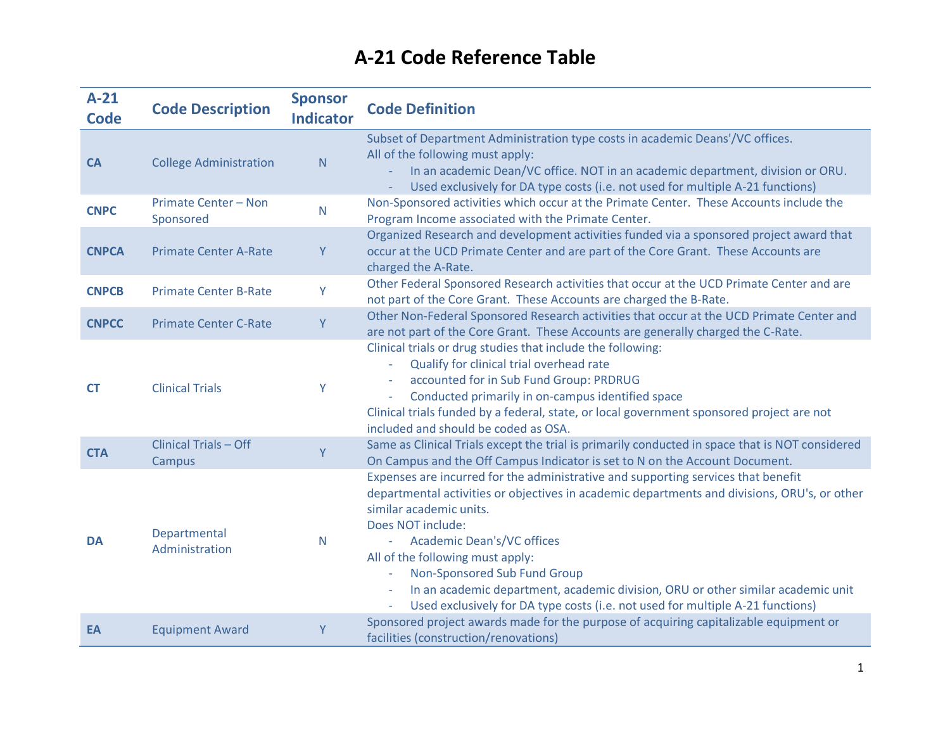| $A-21$<br><b>Code</b> | <b>Code Description</b>                | <b>Sponsor</b><br><b>Indicator</b> | <b>Code Definition</b>                                                                                                                                                                                                                                                                                                                                                                                                                                                                                                                       |
|-----------------------|----------------------------------------|------------------------------------|----------------------------------------------------------------------------------------------------------------------------------------------------------------------------------------------------------------------------------------------------------------------------------------------------------------------------------------------------------------------------------------------------------------------------------------------------------------------------------------------------------------------------------------------|
| CA                    | <b>College Administration</b>          | N                                  | Subset of Department Administration type costs in academic Deans'/VC offices.<br>All of the following must apply:<br>In an academic Dean/VC office. NOT in an academic department, division or ORU.<br>Used exclusively for DA type costs (i.e. not used for multiple A-21 functions)                                                                                                                                                                                                                                                        |
| <b>CNPC</b>           | Primate Center - Non<br>Sponsored      | $\mathsf{N}$                       | Non-Sponsored activities which occur at the Primate Center. These Accounts include the<br>Program Income associated with the Primate Center.                                                                                                                                                                                                                                                                                                                                                                                                 |
| <b>CNPCA</b>          | <b>Primate Center A-Rate</b>           | Y                                  | Organized Research and development activities funded via a sponsored project award that<br>occur at the UCD Primate Center and are part of the Core Grant. These Accounts are<br>charged the A-Rate.                                                                                                                                                                                                                                                                                                                                         |
| <b>CNPCB</b>          | <b>Primate Center B-Rate</b>           | Y                                  | Other Federal Sponsored Research activities that occur at the UCD Primate Center and are<br>not part of the Core Grant. These Accounts are charged the B-Rate.                                                                                                                                                                                                                                                                                                                                                                               |
| <b>CNPCC</b>          | <b>Primate Center C-Rate</b>           | Y                                  | Other Non-Federal Sponsored Research activities that occur at the UCD Primate Center and<br>are not part of the Core Grant. These Accounts are generally charged the C-Rate.                                                                                                                                                                                                                                                                                                                                                                 |
| <b>CT</b>             | <b>Clinical Trials</b>                 | Y                                  | Clinical trials or drug studies that include the following:<br>Qualify for clinical trial overhead rate<br>$\equiv$<br>accounted for in Sub Fund Group: PRDRUG<br>Conducted primarily in on-campus identified space<br>Clinical trials funded by a federal, state, or local government sponsored project are not<br>included and should be coded as OSA.                                                                                                                                                                                     |
| <b>CTA</b>            | <b>Clinical Trials - Off</b><br>Campus | Y                                  | Same as Clinical Trials except the trial is primarily conducted in space that is NOT considered<br>On Campus and the Off Campus Indicator is set to N on the Account Document.                                                                                                                                                                                                                                                                                                                                                               |
| <b>DA</b>             | Departmental<br>Administration         | N                                  | Expenses are incurred for the administrative and supporting services that benefit<br>departmental activities or objectives in academic departments and divisions, ORU's, or other<br>similar academic units.<br>Does NOT include:<br><b>Academic Dean's/VC offices</b><br>All of the following must apply:<br>Non-Sponsored Sub Fund Group<br>In an academic department, academic division, ORU or other similar academic unit<br>$\overline{\phantom{a}}$<br>Used exclusively for DA type costs (i.e. not used for multiple A-21 functions) |
| EA                    | <b>Equipment Award</b>                 | Y                                  | Sponsored project awards made for the purpose of acquiring capitalizable equipment or<br>facilities (construction/renovations)                                                                                                                                                                                                                                                                                                                                                                                                               |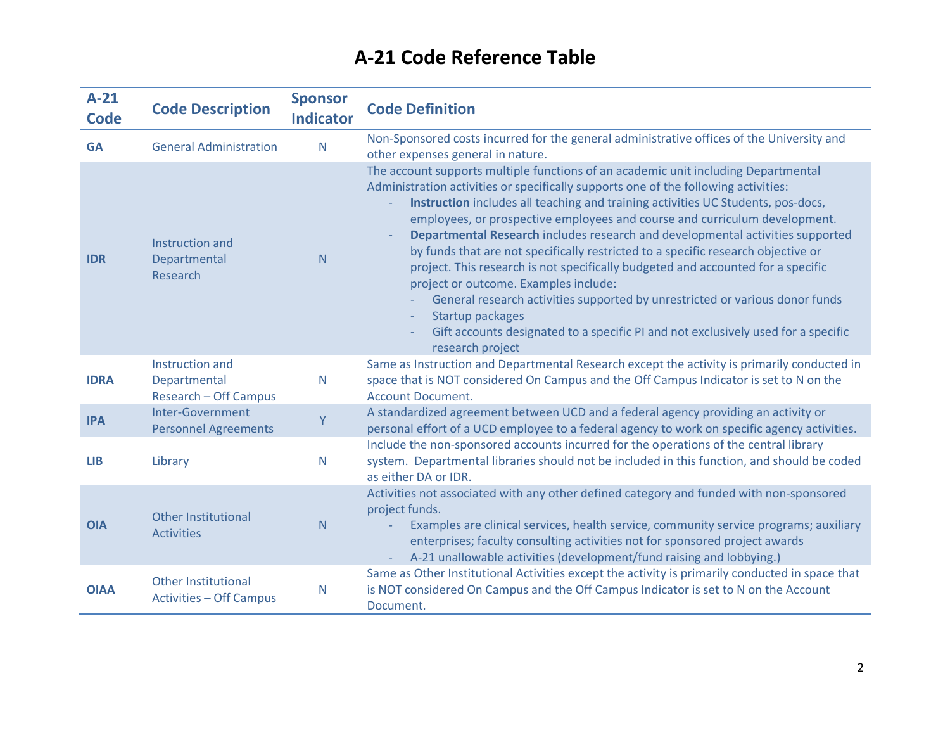| $A-21$<br><b>Code</b> | <b>Code Description</b>                                      | <b>Sponsor</b><br><b>Indicator</b> | <b>Code Definition</b>                                                                                                                                                                                                                                                                                                                                                                                                                                                                                                                                                                                                                                                                                                                                                                                                                                                                   |
|-----------------------|--------------------------------------------------------------|------------------------------------|------------------------------------------------------------------------------------------------------------------------------------------------------------------------------------------------------------------------------------------------------------------------------------------------------------------------------------------------------------------------------------------------------------------------------------------------------------------------------------------------------------------------------------------------------------------------------------------------------------------------------------------------------------------------------------------------------------------------------------------------------------------------------------------------------------------------------------------------------------------------------------------|
| <b>GA</b>             | <b>General Administration</b>                                | $\mathsf{N}$                       | Non-Sponsored costs incurred for the general administrative offices of the University and<br>other expenses general in nature.                                                                                                                                                                                                                                                                                                                                                                                                                                                                                                                                                                                                                                                                                                                                                           |
| <b>IDR</b>            | Instruction and<br>Departmental<br>Research                  | N                                  | The account supports multiple functions of an academic unit including Departmental<br>Administration activities or specifically supports one of the following activities:<br>Instruction includes all teaching and training activities UC Students, pos-docs,<br>employees, or prospective employees and course and curriculum development.<br>Departmental Research includes research and developmental activities supported<br>by funds that are not specifically restricted to a specific research objective or<br>project. This research is not specifically budgeted and accounted for a specific<br>project or outcome. Examples include:<br>General research activities supported by unrestricted or various donor funds<br>Startup packages<br>$\overline{\phantom{a}}$<br>Gift accounts designated to a specific PI and not exclusively used for a specific<br>research project |
| <b>IDRA</b>           | Instruction and<br>Departmental<br>Research - Off Campus     | $\mathsf{N}$                       | Same as Instruction and Departmental Research except the activity is primarily conducted in<br>space that is NOT considered On Campus and the Off Campus Indicator is set to N on the<br><b>Account Document.</b>                                                                                                                                                                                                                                                                                                                                                                                                                                                                                                                                                                                                                                                                        |
| <b>IPA</b>            | Inter-Government<br><b>Personnel Agreements</b>              | Ÿ                                  | A standardized agreement between UCD and a federal agency providing an activity or<br>personal effort of a UCD employee to a federal agency to work on specific agency activities.                                                                                                                                                                                                                                                                                                                                                                                                                                                                                                                                                                                                                                                                                                       |
| <b>LIB</b>            | Library                                                      | $\mathsf{N}$                       | Include the non-sponsored accounts incurred for the operations of the central library<br>system. Departmental libraries should not be included in this function, and should be coded<br>as either DA or IDR.                                                                                                                                                                                                                                                                                                                                                                                                                                                                                                                                                                                                                                                                             |
| <b>OIA</b>            | <b>Other Institutional</b><br><b>Activities</b>              | N                                  | Activities not associated with any other defined category and funded with non-sponsored<br>project funds.<br>Examples are clinical services, health service, community service programs; auxiliary<br>enterprises; faculty consulting activities not for sponsored project awards<br>A-21 unallowable activities (development/fund raising and lobbying.)                                                                                                                                                                                                                                                                                                                                                                                                                                                                                                                                |
| <b>OIAA</b>           | <b>Other Institutional</b><br><b>Activities - Off Campus</b> | N                                  | Same as Other Institutional Activities except the activity is primarily conducted in space that<br>is NOT considered On Campus and the Off Campus Indicator is set to N on the Account<br>Document.                                                                                                                                                                                                                                                                                                                                                                                                                                                                                                                                                                                                                                                                                      |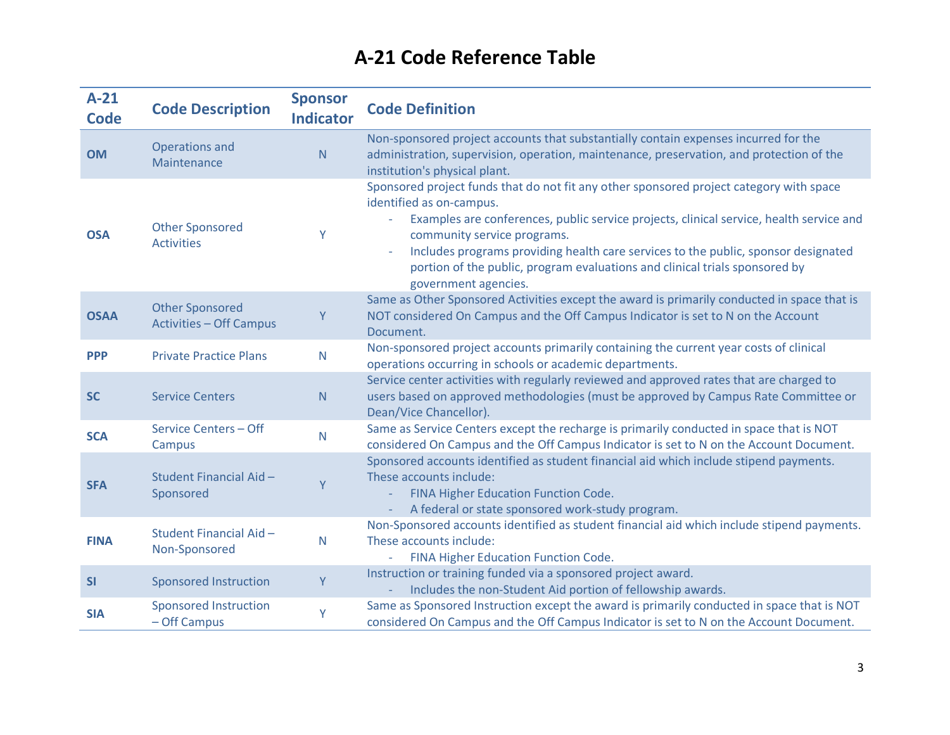| $A-21$<br><b>Code</b> | <b>Code Description</b>                                  | <b>Sponsor</b><br><b>Indicator</b> | <b>Code Definition</b>                                                                                                                                                                                                                                                                                                                                                                                                                                                 |
|-----------------------|----------------------------------------------------------|------------------------------------|------------------------------------------------------------------------------------------------------------------------------------------------------------------------------------------------------------------------------------------------------------------------------------------------------------------------------------------------------------------------------------------------------------------------------------------------------------------------|
| <b>OM</b>             | Operations and<br>Maintenance                            | ${\sf N}$                          | Non-sponsored project accounts that substantially contain expenses incurred for the<br>administration, supervision, operation, maintenance, preservation, and protection of the<br>institution's physical plant.                                                                                                                                                                                                                                                       |
| <b>OSA</b>            | <b>Other Sponsored</b><br><b>Activities</b>              | Y                                  | Sponsored project funds that do not fit any other sponsored project category with space<br>identified as on-campus.<br>Examples are conferences, public service projects, clinical service, health service and<br>community service programs.<br>Includes programs providing health care services to the public, sponsor designated<br>$\overline{\phantom{a}}$<br>portion of the public, program evaluations and clinical trials sponsored by<br>government agencies. |
| <b>OSAA</b>           | <b>Other Sponsored</b><br><b>Activities - Off Campus</b> | Υ                                  | Same as Other Sponsored Activities except the award is primarily conducted in space that is<br>NOT considered On Campus and the Off Campus Indicator is set to N on the Account<br>Document.                                                                                                                                                                                                                                                                           |
| <b>PPP</b>            | <b>Private Practice Plans</b>                            | N                                  | Non-sponsored project accounts primarily containing the current year costs of clinical<br>operations occurring in schools or academic departments.                                                                                                                                                                                                                                                                                                                     |
| <b>SC</b>             | <b>Service Centers</b>                                   | N                                  | Service center activities with regularly reviewed and approved rates that are charged to<br>users based on approved methodologies (must be approved by Campus Rate Committee or<br>Dean/Vice Chancellor).                                                                                                                                                                                                                                                              |
| <b>SCA</b>            | Service Centers - Off<br>Campus                          | $\mathsf{N}$                       | Same as Service Centers except the recharge is primarily conducted in space that is NOT<br>considered On Campus and the Off Campus Indicator is set to N on the Account Document.                                                                                                                                                                                                                                                                                      |
| <b>SFA</b>            | Student Financial Aid-<br>Sponsored                      | Y                                  | Sponsored accounts identified as student financial aid which include stipend payments.<br>These accounts include:<br>FINA Higher Education Function Code.<br>A federal or state sponsored work-study program.                                                                                                                                                                                                                                                          |
| <b>FINA</b>           | Student Financial Aid-<br>Non-Sponsored                  | N                                  | Non-Sponsored accounts identified as student financial aid which include stipend payments.<br>These accounts include:<br>- FINA Higher Education Function Code.                                                                                                                                                                                                                                                                                                        |
| <b>SI</b>             | <b>Sponsored Instruction</b>                             | Y                                  | Instruction or training funded via a sponsored project award.<br>Includes the non-Student Aid portion of fellowship awards.                                                                                                                                                                                                                                                                                                                                            |
| <b>SIA</b>            | <b>Sponsored Instruction</b><br>- Off Campus             | Y                                  | Same as Sponsored Instruction except the award is primarily conducted in space that is NOT<br>considered On Campus and the Off Campus Indicator is set to N on the Account Document.                                                                                                                                                                                                                                                                                   |